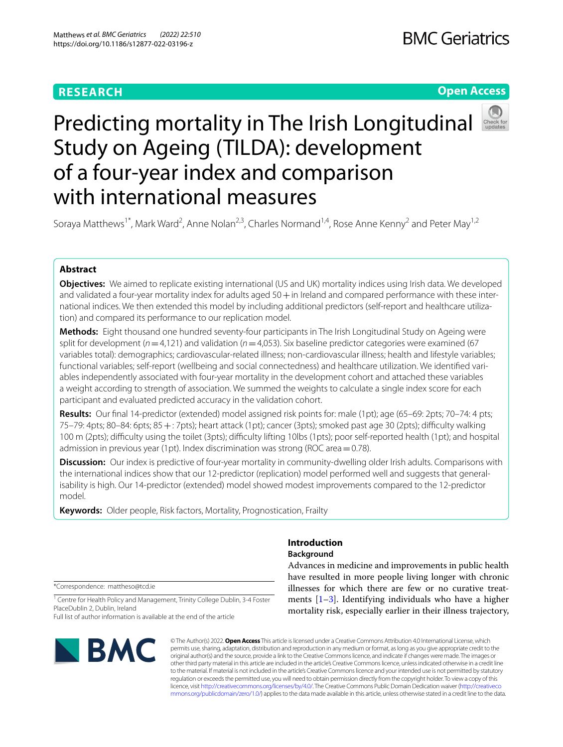# **RESEARCH**

# **Open Access**

# Predicting mortality in The Irish Longitudinal Study on Ageing (TILDA): development of a four-year index and comparison with international measures

Soraya Matthews<sup>1\*</sup>, Mark Ward<sup>2</sup>, Anne Nolan<sup>2,3</sup>, Charles Normand<sup>1,4</sup>, Rose Anne Kenny<sup>2</sup> and Peter May<sup>1,2</sup>

# **Abstract**

**Objectives:** We aimed to replicate existing international (US and UK) mortality indices using Irish data. We developed and validated a four-year mortality index for adults aged  $50+$  in Ireland and compared performance with these international indices. We then extended this model by including additional predictors (self-report and healthcare utilization) and compared its performance to our replication model.

**Methods:** Eight thousand one hundred seventy-four participants in The Irish Longitudinal Study on Ageing were split for development (*n*=4,121) and validation (*n*=4,053). Six baseline predictor categories were examined (67 variables total): demographics; cardiovascular-related illness; non-cardiovascular illness; health and lifestyle variables; functional variables; self-report (wellbeing and social connectedness) and healthcare utilization. We identifed variables independently associated with four-year mortality in the development cohort and attached these variables a weight according to strength of association. We summed the weights to calculate a single index score for each participant and evaluated predicted accuracy in the validation cohort.

**Results:** Our fnal 14-predictor (extended) model assigned risk points for: male (1pt); age (65–69: 2pts; 70–74: 4 pts;  $75-79$ : 4pts; 80–84: 6pts; 85  $+$ : 7pts); heart attack (1pt); cancer (3pts); smoked past age 30 (2pts); difficulty walking 100 m (2pts); difculty using the toilet (3pts); difculty lifting 10lbs (1pts); poor self-reported health (1pt); and hospital admission in previous year (1pt). Index discrimination was strong (ROC area  $=$  0.78).

**Discussion:** Our index is predictive of four-year mortality in community-dwelling older Irish adults. Comparisons with the international indices show that our 12-predictor (replication) model performed well and suggests that generalisability is high. Our 14-predictor (extended) model showed modest improvements compared to the 12-predictor model.

**Keywords:** Older people, Risk factors, Mortality, Prognostication, Frailty

# **Introduction**

#### **Background**

\*Correspondence: mattheso@tcd.ie

<sup>1</sup> Centre for Health Policy and Management, Trinity College Dublin, 3-4 Foster PlaceDublin 2, Dublin, Ireland

Full list of author information is available at the end of the article



© The Author(s) 2022. **Open Access** This article is licensed under a Creative Commons Attribution 4.0 International License, which permits use, sharing, adaptation, distribution and reproduction in any medium or format, as long as you give appropriate credit to the original author(s) and the source, provide a link to the Creative Commons licence, and indicate if changes were made. The images or other third party material in this article are included in the article's Creative Commons licence, unless indicated otherwise in a credit line to the material. If material is not included in the article's Creative Commons licence and your intended use is not permitted by statutory regulation or exceeds the permitted use, you will need to obtain permission directly from the copyright holder. To view a copy of this licence, visit [http://creativecommons.org/licenses/by/4.0/.](http://creativecommons.org/licenses/by/4.0/) The Creative Commons Public Domain Dedication waiver ([http://creativeco](http://creativecommons.org/publicdomain/zero/1.0/) [mmons.org/publicdomain/zero/1.0/](http://creativecommons.org/publicdomain/zero/1.0/)) applies to the data made available in this article, unless otherwise stated in a credit line to the data.

Advances in medicine and improvements in public health have resulted in more people living longer with chronic illnesses for which there are few or no curative treatments  $[1-3]$  $[1-3]$ . Identifying individuals who have a higher mortality risk, especially earlier in their illness trajectory,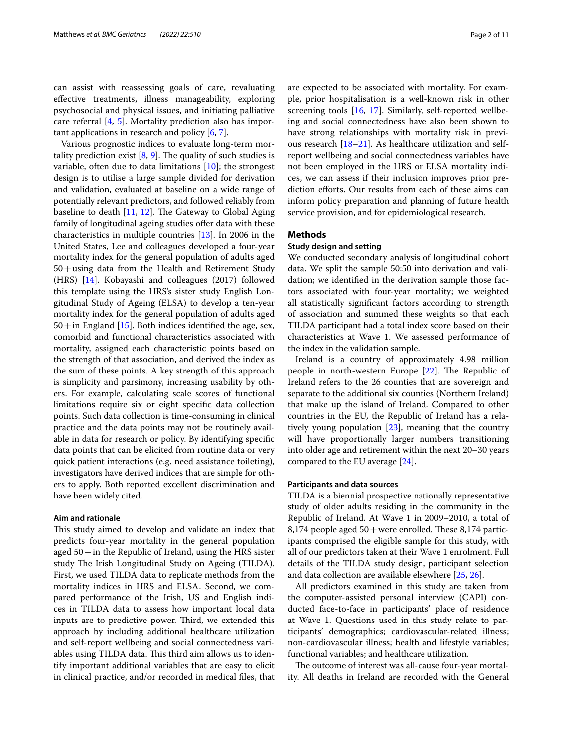can assist with reassessing goals of care, revaluating efective treatments, illness manageability, exploring psychosocial and physical issues, and initiating palliative care referral [[4,](#page-10-1) [5](#page-10-2)]. Mortality prediction also has important applications in research and policy [\[6](#page-10-3), [7](#page-10-4)].

Various prognostic indices to evaluate long-term mortality prediction exist  $[8, 9]$  $[8, 9]$  $[8, 9]$  $[8, 9]$ . The quality of such studies is variable, often due to data limitations [[10](#page-10-7)]; the strongest design is to utilise a large sample divided for derivation and validation, evaluated at baseline on a wide range of potentially relevant predictors, and followed reliably from baseline to death  $[11, 12]$  $[11, 12]$  $[11, 12]$  $[11, 12]$ . The Gateway to Global Aging family of longitudinal ageing studies offer data with these characteristics in multiple countries [[13](#page-10-10)]. In 2006 in the United States, Lee and colleagues developed a four-year mortality index for the general population of adults aged 50+using data from the Health and Retirement Study (HRS) [\[14\]](#page-10-11). Kobayashi and colleagues (2017) followed this template using the HRS's sister study English Longitudinal Study of Ageing (ELSA) to develop a ten-year mortality index for the general population of adults aged  $50+$ in England [[15\]](#page-10-12). Both indices identified the age, sex, comorbid and functional characteristics associated with mortality, assigned each characteristic points based on the strength of that association, and derived the index as the sum of these points. A key strength of this approach is simplicity and parsimony, increasing usability by others. For example, calculating scale scores of functional limitations require six or eight specifc data collection points. Such data collection is time-consuming in clinical practice and the data points may not be routinely available in data for research or policy. By identifying specifc data points that can be elicited from routine data or very quick patient interactions (e.g. need assistance toileting), investigators have derived indices that are simple for others to apply. Both reported excellent discrimination and have been widely cited.

#### **Aim and rationale**

This study aimed to develop and validate an index that predicts four-year mortality in the general population aged  $50+$  in the Republic of Ireland, using the HRS sister study The Irish Longitudinal Study on Ageing (TILDA). First, we used TILDA data to replicate methods from the mortality indices in HRS and ELSA. Second, we compared performance of the Irish, US and English indices in TILDA data to assess how important local data inputs are to predictive power. Third, we extended this approach by including additional healthcare utilization and self-report wellbeing and social connectedness variables using TILDA data. This third aim allows us to identify important additional variables that are easy to elicit in clinical practice, and/or recorded in medical fles, that are expected to be associated with mortality. For example, prior hospitalisation is a well-known risk in other screening tools [[16,](#page-10-13) [17\]](#page-10-14). Similarly, self-reported wellbeing and social connectedness have also been shown to have strong relationships with mortality risk in previous research [\[18](#page-10-15)[–21\]](#page-10-16). As healthcare utilization and selfreport wellbeing and social connectedness variables have not been employed in the HRS or ELSA mortality indices, we can assess if their inclusion improves prior prediction efforts. Our results from each of these aims can inform policy preparation and planning of future health service provision, and for epidemiological research.

#### **Methods**

#### **Study design and setting**

We conducted secondary analysis of longitudinal cohort data. We split the sample 50:50 into derivation and validation; we identifed in the derivation sample those factors associated with four-year mortality; we weighted all statistically signifcant factors according to strength of association and summed these weights so that each TILDA participant had a total index score based on their characteristics at Wave 1. We assessed performance of the index in the validation sample.

Ireland is a country of approximately 4.98 million people in north-western Europe  $[22]$ . The Republic of Ireland refers to the 26 counties that are sovereign and separate to the additional six counties (Northern Ireland) that make up the island of Ireland. Compared to other countries in the EU, the Republic of Ireland has a relatively young population [\[23\]](#page-10-18), meaning that the country will have proportionally larger numbers transitioning into older age and retirement within the next 20–30 years compared to the EU average [\[24](#page-10-19)].

#### **Participants and data sources**

TILDA is a biennial prospective nationally representative study of older adults residing in the community in the Republic of Ireland. At Wave 1 in 2009–2010, a total of 8,174 people aged  $50+$  were enrolled. These 8,174 participants comprised the eligible sample for this study, with all of our predictors taken at their Wave 1 enrolment. Full details of the TILDA study design, participant selection and data collection are available elsewhere [[25,](#page-10-20) [26](#page-10-21)].

All predictors examined in this study are taken from the computer-assisted personal interview (CAPI) conducted face-to-face in participants' place of residence at Wave 1. Questions used in this study relate to participants' demographics; cardiovascular-related illness; non-cardiovascular illness; health and lifestyle variables; functional variables; and healthcare utilization.

The outcome of interest was all-cause four-year mortality. All deaths in Ireland are recorded with the General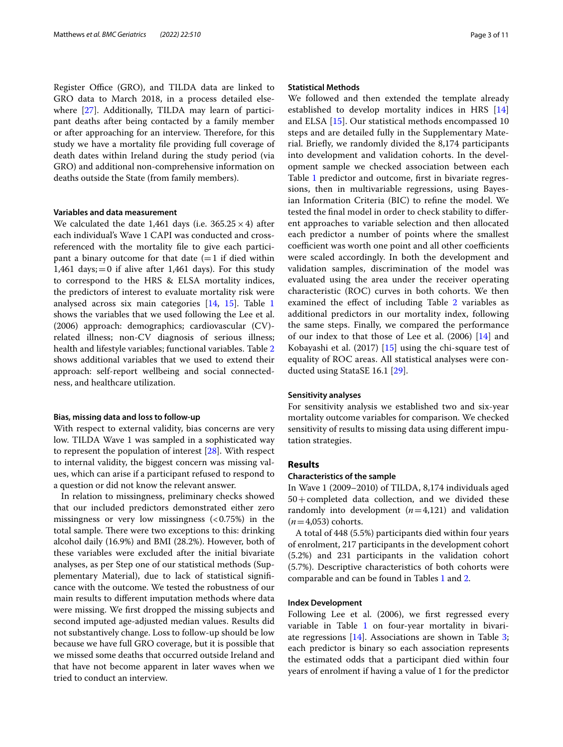Register Office (GRO), and TILDA data are linked to GRO data to March 2018, in a process detailed elsewhere [\[27](#page-10-22)]. Additionally, TILDA may learn of participant deaths after being contacted by a family member or after approaching for an interview. Therefore, for this study we have a mortality fle providing full coverage of death dates within Ireland during the study period (via GRO) and additional non-comprehensive information on deaths outside the State (from family members).

#### **Variables and data measurement**

We calculated the date 1,461 days (i.e.  $365.25 \times 4$ ) after each individual's Wave 1 CAPI was conducted and crossreferenced with the mortality fle to give each participant a binary outcome for that date  $(=1$  if died within 1,461 days;  $=0$  if alive after 1,461 days). For this study to correspond to the HRS & ELSA mortality indices, the predictors of interest to evaluate mortality risk were analysed across six main categories [\[14](#page-10-11), [15](#page-10-12)]. Table [1](#page-3-0) shows the variables that we used following the Lee et al. (2006) approach: demographics; cardiovascular (CV) related illness; non-CV diagnosis of serious illness; health and lifestyle variables; functional variables. Table [2](#page-4-0) shows additional variables that we used to extend their approach: self-report wellbeing and social connectedness, and healthcare utilization.

#### **Bias, missing data and loss to follow‑up**

With respect to external validity, bias concerns are very low. TILDA Wave 1 was sampled in a sophisticated way to represent the population of interest [\[28](#page-10-23)]. With respect to internal validity, the biggest concern was missing values, which can arise if a participant refused to respond to a question or did not know the relevant answer.

In relation to missingness, preliminary checks showed that our included predictors demonstrated either zero missingness or very low missingness  $( $0.75\%$ )$  in the total sample. There were two exceptions to this: drinking alcohol daily (16.9%) and BMI (28.2%). However, both of these variables were excluded after the initial bivariate analyses, as per Step one of our statistical methods (Supplementary Material), due to lack of statistical signifcance with the outcome. We tested the robustness of our main results to diferent imputation methods where data were missing. We frst dropped the missing subjects and second imputed age-adjusted median values. Results did not substantively change. Loss to follow-up should be low because we have full GRO coverage, but it is possible that we missed some deaths that occurred outside Ireland and that have not become apparent in later waves when we tried to conduct an interview.

#### **Statistical Methods**

We followed and then extended the template already established to develop mortality indices in HRS [\[14](#page-10-11)] and ELSA [\[15](#page-10-12)]. Our statistical methods encompassed 10 steps and are detailed fully in the Supplementary Material. Briefy, we randomly divided the 8,174 participants into development and validation cohorts. In the development sample we checked association between each Table [1](#page-3-0) predictor and outcome, frst in bivariate regressions, then in multivariable regressions, using Bayesian Information Criteria (BIC) to refne the model. We tested the fnal model in order to check stability to diferent approaches to variable selection and then allocated each predictor a number of points where the smallest coefficient was worth one point and all other coefficients were scaled accordingly. In both the development and validation samples, discrimination of the model was evaluated using the area under the receiver operating characteristic (ROC) curves in both cohorts. We then examined the effect of including Table [2](#page-4-0) variables as additional predictors in our mortality index, following the same steps. Finally, we compared the performance of our index to that those of Lee et al. (2006) [[14](#page-10-11)] and Kobayashi et al. (2017) [\[15](#page-10-12)] using the chi-square test of equality of ROC areas. All statistical analyses were conducted using StataSE 16.1 [[29](#page-10-24)].

#### **Sensitivity analyses**

For sensitivity analysis we established two and six-year mortality outcome variables for comparison. We checked sensitivity of results to missing data using diferent imputation strategies.

#### **Results**

#### **Characteristics of the sample**

In Wave 1 (2009–2010) of TILDA, 8,174 individuals aged  $50+$ completed data collection, and we divided these randomly into development  $(n=4,121)$  and validation  $(n=4,053)$  cohorts.

A total of 448 (5.5%) participants died within four years of enrolment, 217 participants in the development cohort (5.2%) and 231 participants in the validation cohort (5.7%). Descriptive characteristics of both cohorts were comparable and can be found in Tables [1](#page-3-0) and [2.](#page-4-0)

#### **Index Development**

Following Lee et al. (2006), we frst regressed every variable in Table [1](#page-3-0) on four-year mortality in bivariate regressions  $[14]$ . Associations are shown in Table [3](#page-5-0); each predictor is binary so each association represents the estimated odds that a participant died within four years of enrolment if having a value of 1 for the predictor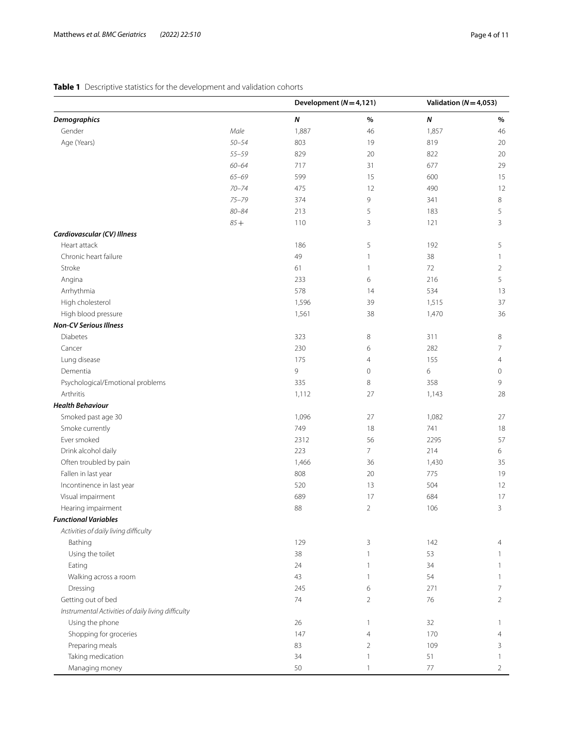# <span id="page-3-0"></span>**Table 1** Descriptive statistics for the development and validation cohorts

|                                                    |           | Development ( $N = 4,121$ ) |                | Validation ( $N = 4,053$ ) |                |
|----------------------------------------------------|-----------|-----------------------------|----------------|----------------------------|----------------|
| <b>Demographics</b>                                |           | $\boldsymbol{N}$            | $\%$           | N                          | $\%$           |
| Gender                                             | Male      | 1,887                       | 46             | 1,857                      | 46             |
| Age (Years)                                        | $50 - 54$ | 803                         | 19             | 819                        | 20             |
|                                                    | $55 - 59$ | 829                         | 20             | 822                        | 20             |
|                                                    | $60 - 64$ | 717                         | 31             | 677                        | 29             |
|                                                    | $65 - 69$ | 599                         | 15             | 600                        | 15             |
|                                                    | $70 - 74$ | 475                         | 12             | 490                        | 12             |
|                                                    | $75 - 79$ | 374                         | 9              | 341                        | 8              |
|                                                    | $80 - 84$ | 213                         | 5              | 183                        | 5              |
|                                                    | $85 +$    | 110                         | 3              | 121                        | 3              |
| Cardiovascular (CV) Illness                        |           |                             |                |                            |                |
| Heart attack                                       |           | 186                         | 5              | 192                        | 5              |
| Chronic heart failure                              |           | 49                          | $\mathbf{1}$   | 38                         | $\mathbf{1}$   |
| Stroke                                             |           | 61                          | $\mathbf{1}$   | 72                         | $\overline{2}$ |
| Angina                                             |           | 233                         | 6              | 216                        | 5              |
| Arrhythmia                                         |           | 578                         | 14             | 534                        | 13             |
| High cholesterol                                   |           | 1,596                       | 39             | 1,515                      | 37             |
| High blood pressure                                |           | 1,561                       | 38             | 1,470                      | 36             |
| <b>Non-CV Serious Illness</b>                      |           |                             |                |                            |                |
| <b>Diabetes</b>                                    |           | 323                         | 8              | 311                        | 8              |
| Cancer                                             |           | 230                         | 6              | 282                        | 7              |
| Lung disease                                       |           | 175                         | $\overline{4}$ | 155                        | $\overline{4}$ |
| Dementia                                           |           | 9                           | $\mathbf 0$    | 6                          | 0              |
| Psychological/Emotional problems                   |           | 335                         | 8              | 358                        | 9              |
| Arthritis                                          |           | 1,112                       | 27             | 1,143                      | 28             |
| <b>Health Behaviour</b>                            |           |                             |                |                            |                |
| Smoked past age 30                                 |           | 1,096                       | 27             | 1,082                      | 27             |
| Smoke currently                                    |           | 749                         | 18             | 741                        | 18             |
| Ever smoked                                        |           | 2312                        | 56             | 2295                       | 57             |
| Drink alcohol daily                                |           | 223                         | $\overline{7}$ | 214                        | 6              |
| Often troubled by pain                             |           | 1,466                       | 36             | 1,430                      | 35             |
| Fallen in last year                                |           | 808                         | 20             | 775                        | 19             |
| Incontinence in last year                          |           | 520                         | 13             | 504                        | 12             |
| Visual impairment                                  |           | 689                         | 17             | 684                        | 17             |
| Hearing impairment                                 |           | 88                          | $\overline{2}$ | 106                        | 3              |
| <b>Functional Variables</b>                        |           |                             |                |                            |                |
| Activities of daily living difficulty              |           |                             |                |                            |                |
| Bathing                                            |           | 129                         | 3              | 142                        | $\overline{4}$ |
| Using the toilet                                   |           | 38                          | $\mathbf{1}$   | 53                         |                |
| Eating                                             |           | 24                          | 1              | 34                         |                |
|                                                    |           | 43                          | 1              | 54                         | 1              |
| Walking across a room                              |           | 245                         | 6              | 271                        | 7              |
| Dressing<br>Getting out of bed                     |           | 74                          | $\overline{2}$ | 76                         | 2              |
|                                                    |           |                             |                |                            |                |
| Instrumental Activities of daily living difficulty |           |                             |                |                            |                |
| Using the phone                                    |           | 26                          | $\mathbf{1}$   | 32                         | -1             |
| Shopping for groceries                             |           | 147                         | 4              | 170                        | 4              |
| Preparing meals                                    |           | 83                          | $\overline{2}$ | 109                        | 3              |
| Taking medication                                  |           | 34                          | -1             | 51                         |                |
| Managing money                                     |           | 50                          |                | 77                         | 2              |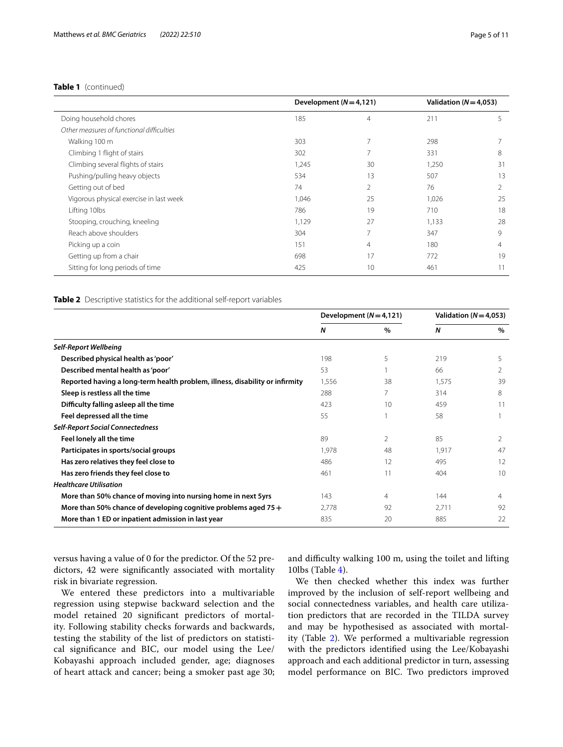|                                           | Development $(N=4,121)$ |                | Validation ( $N = 4.053$ ) |                |
|-------------------------------------------|-------------------------|----------------|----------------------------|----------------|
| Doing household chores                    | 185                     | $\overline{4}$ | 211                        | 5              |
| Other measures of functional difficulties |                         |                |                            |                |
| Walking 100 m                             | 303                     | 7              | 298                        | 7              |
| Climbing 1 flight of stairs               | 302                     |                | 331                        | 8              |
| Climbing several flights of stairs        | 1,245                   | 30             | 1,250                      | 31             |
| Pushing/pulling heavy objects             | 534                     | 13             | 507                        | 13             |
| Getting out of bed                        | 74                      | 2              | 76                         | $\overline{2}$ |
| Vigorous physical exercise in last week   | 1,046                   | 25             | 1,026                      | 25             |
| Lifting 10lbs                             | 786                     | 19             | 710                        | 18             |
| Stooping, crouching, kneeling             | 1,129                   | 27             | 1,133                      | 28             |
| Reach above shoulders                     | 304                     | 7              | 347                        | 9              |
| Picking up a coin                         | 151                     | 4              | 180                        | $\overline{4}$ |
| Getting up from a chair                   | 698                     | 17             | 772                        | 19             |
| Sitting for long periods of time          | 425                     | 10             | 461                        | 11             |

#### <span id="page-4-0"></span>**Table 2** Descriptive statistics for the additional self-report variables

|                                                                              | Development $(N=4,121)$ |                 | Validation ( $N = 4,053$ ) |      |
|------------------------------------------------------------------------------|-------------------------|-----------------|----------------------------|------|
|                                                                              | N                       | $\frac{0}{0}$   | N                          | $\%$ |
| <b>Self-Report Wellbeing</b>                                                 |                         |                 |                            |      |
| Described physical health as 'poor'                                          | 198                     | 5               | 219                        | 5    |
| Described mental health as 'poor'                                            | 53                      |                 | 66                         |      |
| Reported having a long-term health problem, illness, disability or infirmity | 1,556                   | 38              | 1,575                      | 39   |
| Sleep is restless all the time                                               | 288                     |                 | 314                        | 8    |
| Difficulty falling asleep all the time                                       | 423                     | 10 <sup>2</sup> | 459                        | 11   |
| Feel depressed all the time                                                  | 55                      |                 | 58                         |      |
| <b>Self-Report Social Connectedness</b>                                      |                         |                 |                            |      |
| Feel lonely all the time                                                     | 89                      | 2               | 85                         | 2    |
| Participates in sports/social groups                                         | 1,978                   | 48              | 1,917                      | 47   |
| Has zero relatives they feel close to                                        | 486                     | 12              | 495                        | 12   |
| Has zero friends they feel close to                                          | 461                     | 11              | 404                        | 10   |
| <b>Healthcare Utilisation</b>                                                |                         |                 |                            |      |
| More than 50% chance of moving into nursing home in next 5yrs                | 143                     | 4               | 144                        | 4    |
| More than 50% chance of developing cognitive problems aged 75 +              | 2,778                   | 92              | 2,711                      | 92   |
| More than 1 ED or inpatient admission in last year                           | 835                     | 20              | 885                        | 22   |

versus having a value of 0 for the predictor. Of the 52 predictors, 42 were signifcantly associated with mortality risk in bivariate regression.

We entered these predictors into a multivariable regression using stepwise backward selection and the model retained 20 signifcant predictors of mortality. Following stability checks forwards and backwards, testing the stability of the list of predictors on statistical signifcance and BIC, our model using the Lee/ Kobayashi approach included gender, age; diagnoses of heart attack and cancer; being a smoker past age 30; and difficulty walking 100 m, using the toilet and lifting 10lbs (Table [4\)](#page-6-0).

We then checked whether this index was further improved by the inclusion of self-report wellbeing and social connectedness variables, and health care utilization predictors that are recorded in the TILDA survey and may be hypothesised as associated with mortality (Table [2](#page-4-0)). We performed a multivariable regression with the predictors identifed using the Lee/Kobayashi approach and each additional predictor in turn, assessing model performance on BIC. Two predictors improved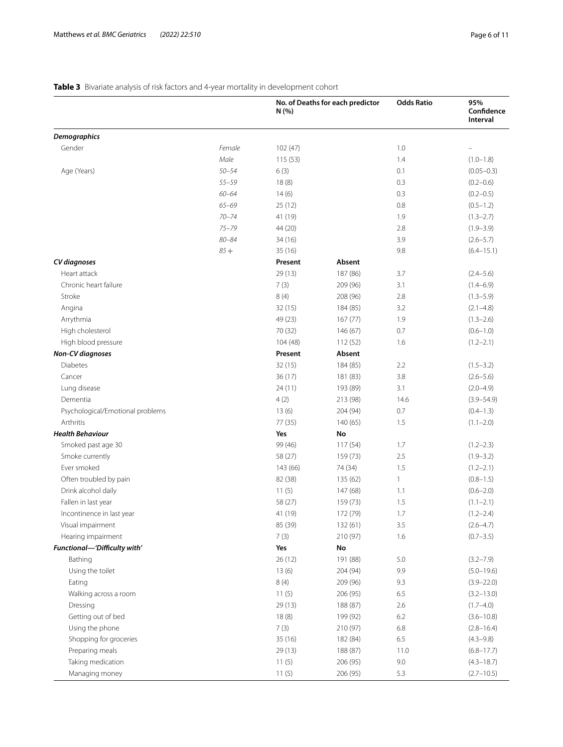# <span id="page-5-0"></span>**Table 3** Bivariate analysis of risk factors and 4-year mortality in development cohort

|                                  |           | N(%)     | No. of Deaths for each predictor | <b>Odds Ratio</b> | 95%<br>Confidence<br><b>Interval</b> |
|----------------------------------|-----------|----------|----------------------------------|-------------------|--------------------------------------|
| <b>Demographics</b>              |           |          |                                  |                   |                                      |
| Gender                           | Female    | 102(47)  |                                  | 1.0               |                                      |
|                                  | Male      | 115 (53) |                                  | 1.4               | $(1.0 - 1.8)$                        |
| Age (Years)                      | $50 - 54$ | 6(3)     |                                  | 0.1               | $(0.05 - 0.3)$                       |
|                                  | $55 - 59$ | 18(8)    |                                  | 0.3               | $(0.2 - 0.6)$                        |
|                                  | $60 - 64$ | 14(6)    |                                  | 0.3               | $(0.2 - 0.5)$                        |
|                                  | $65 - 69$ | 25(12)   |                                  | 0.8               | $(0.5 - 1.2)$                        |
|                                  | $70 - 74$ | 41 (19)  |                                  | 1.9               | $(1.3 - 2.7)$                        |
|                                  | $75 - 79$ | 44 (20)  |                                  | 2.8               | $(1.9 - 3.9)$                        |
|                                  | $80 - 84$ | 34(16)   |                                  | 3.9               | $(2.6 - 5.7)$                        |
|                                  | $85 +$    | 35(16)   |                                  | 9.8               | $(6.4 - 15.1)$                       |
| CV diagnoses                     |           | Present  | Absent                           |                   |                                      |
| Heart attack                     |           | 29(13)   | 187 (86)                         | 3.7               | $(2.4 - 5.6)$                        |
| Chronic heart failure            |           | 7(3)     | 209 (96)                         | 3.1               | $(1.4 - 6.9)$                        |
| Stroke                           |           | 8(4)     | 208 (96)                         | 2.8               | $(1.3 - 5.9)$                        |
| Angina                           |           | 32(15)   | 184 (85)                         | 3.2               | $(2.1 - 4.8)$                        |
| Arrythmia                        |           | 49 (23)  | 167(77)                          | 1.9               | $(1.3 - 2.6)$                        |
| High cholesterol                 |           | 70 (32)  | 146 (67)                         | 0.7               | $(0.6 - 1.0)$                        |
| High blood pressure              |           | 104(48)  | 112(52)                          | 1.6               | $(1.2 - 2.1)$                        |
| <b>Non-CV</b> diagnoses          |           | Present  | Absent                           |                   |                                      |
| Diabetes                         |           | 32(15)   | 184 (85)                         | 2.2               | $(1.5 - 3.2)$                        |
| Cancer                           |           | 36(17)   | 181 (83)                         | 3.8               | $(2.6 - 5.6)$                        |
| Lung disease                     |           | 24 (11)  | 193 (89)                         | 3.1               | $(2.0 - 4.9)$                        |
| Dementia                         |           | 4(2)     | 213 (98)                         | 14.6              | $(3.9 - 54.9)$                       |
| Psychological/Emotional problems |           | 13(6)    | 204 (94)                         | 0.7               | $(0.4 - 1.3)$                        |
| Arthritis                        |           | 77 (35)  | 140 (65)                         | 1.5               | $(1.1 - 2.0)$                        |
| <b>Health Behaviour</b>          |           | Yes      | No                               |                   |                                      |
| Smoked past age 30               |           | 99 (46)  | 117 (54)                         | 1.7               | $(1.2 - 2.3)$                        |
| Smoke currently                  |           | 58 (27)  | 159 (73)                         | 2.5               | $(1.9 - 3.2)$                        |
| Ever smoked                      |           | 143 (66) | 74 (34)                          | 1.5               | $(1.2 - 2.1)$                        |
| Often troubled by pain           |           | 82 (38)  | 135 (62)                         | $\mathbf{1}$      | $(0.8 - 1.5)$                        |
| Drink alcohol daily              |           | 11(5)    | 147 (68)                         | 1.1               | $(0.6 - 2.0)$                        |
| Fallen in last year              |           | 58 (27)  | 159 (73)                         | 1.5               | $(1.1 - 2.1)$                        |
| Incontinence in last year        |           | 41 (19)  | 172 (79)                         | 1.7               | $(1.2 - 2.4)$                        |
| Visual impairment                |           | 85 (39)  | 132 (61)                         | 3.5               | $(2.6 - 4.7)$                        |
| Hearing impairment               |           | 7(3)     | 210 (97)                         | 1.6               | $(0.7 - 3.5)$                        |
| Functional-'Difficulty with'     |           | Yes      | No                               |                   |                                      |
| Bathing                          |           | 26(12)   | 191 (88)                         | 5.0               | $(3.2 - 7.9)$                        |
| Using the toilet                 |           | 13(6)    | 204 (94)                         | 9.9               | $(5.0 - 19.6)$                       |
| Eating                           |           | 8(4)     | 209 (96)                         | 9.3               | $(3.9 - 22.0)$                       |
| Walking across a room            |           | 11(5)    | 206 (95)                         | 6.5               | $(3.2 - 13.0)$                       |
| Dressing                         |           | 29 (13)  | 188 (87)                         | 2.6               | $(1.7 - 4.0)$                        |
| Getting out of bed               |           | 18(8)    | 199 (92)                         | 6.2               | $(3.6 - 10.8)$                       |
| Using the phone                  |           | 7(3)     | 210 (97)                         | 6.8               | $(2.8 - 16.4)$                       |
| Shopping for groceries           |           | 35 (16)  | 182 (84)                         | 6.5               | $(4.3 - 9.8)$                        |
| Preparing meals                  |           | 29(13)   | 188 (87)                         | 11.0              | $(6.8 - 17.7)$                       |
| Taking medication                |           | 11(5)    | 206 (95)                         | 9.0               | $(4.3 - 18.7)$                       |
| Managing money                   |           | 11(5)    | 206 (95)                         | 5.3               | $(2.7 - 10.5)$                       |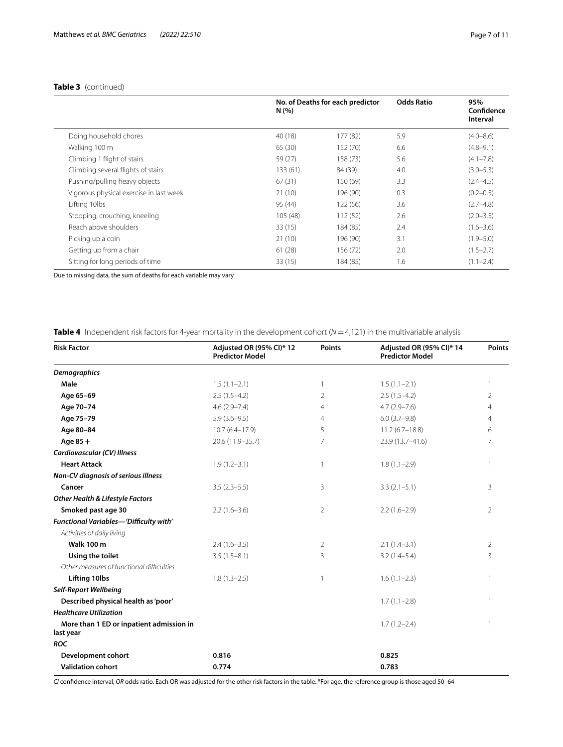### **Table 3** (continued)

|                                         | N(%)     | No. of Deaths for each predictor | <b>Odds Ratio</b> | 95%<br>Confidence<br>Interval |
|-----------------------------------------|----------|----------------------------------|-------------------|-------------------------------|
| Doing household chores                  | 40 (18)  | 177 (82)                         | 5.9               | $(4.0 - 8.6)$                 |
| Walking 100 m                           | 65 (30)  | 152 (70)                         | 6.6               | $(4.8 - 9.1)$                 |
| Climbing 1 flight of stairs             | 59 (27)  | 158 (73)                         | 5.6               | $(4.1 - 7.8)$                 |
| Climbing several flights of stairs      | 133 (61) | 84 (39)                          | 4.0               | $(3.0 - 5.3)$                 |
| Pushing/pulling heavy objects           | 67(31)   | 150 (69)                         | 3.3               | $(2.4 - 4.5)$                 |
| Vigorous physical exercise in last week | 21(10)   | 196 (90)                         | 0.3               | $(0.2 - 0.5)$                 |
| Lifting 10lbs                           | 95 (44)  | 122 (56)                         | 3.6               | $(2.7 - 4.8)$                 |
| Stooping, crouching, kneeling           | 105 (48) | 112(52)                          | 2.6               | $(2.0 - 3.5)$                 |
| Reach above shoulders                   | 33(15)   | 184 (85)                         | 7.4               | $(1.6 - 3.6)$                 |
| Picking up a coin                       | 21(10)   | 196 (90)                         | 3.1               | $(1.9 - 5.0)$                 |
| Getting up from a chair                 | 61(28)   | 156 (72)                         | 2.0               | $(1.5 - 2.7)$                 |
| Sitting for long periods of time        | 33(15)   | 184 (85)                         | 1.6               | $(1.1 - 2.4)$                 |

Due to missing data, the sum of deaths for each variable may vary

<span id="page-6-0"></span>**Table 4** Independent risk factors for 4-year mortality in the development cohort (*N*=4,121) in the multivariable analysis

| <b>Risk Factor</b>                                    | Adjusted OR (95% CI)* 12<br><b>Predictor Model</b> | Points         | Adjusted OR (95% CI)* 14<br><b>Predictor Model</b> | <b>Points</b>  |
|-------------------------------------------------------|----------------------------------------------------|----------------|----------------------------------------------------|----------------|
| <b>Demographics</b>                                   |                                                    |                |                                                    |                |
| Male                                                  | $1.5(1.1-2.1)$                                     | 1              | $1.5(1.1-2.1)$                                     | 1              |
| Age 65-69                                             | $2.5(1.5-4.2)$                                     | $\overline{2}$ | $2.5(1.5-4.2)$                                     | 2              |
| Age 70-74                                             | $4.6(2.9 - 7.4)$                                   | 4              | $4.7(2.9 - 7.6)$                                   | 4              |
| Age 75-79                                             | $5.9(3.6-9.5)$                                     | 4              | $6.0(3.7-9.8)$                                     | 4              |
| Age 80-84                                             | $10.7(6.4 - 17.9)$                                 | 5              | $11.2(6.7-18.8)$                                   | 6              |
| Age $85+$                                             | 20.6 (11.9-35.7)                                   | 7              | 23.9 (13.7-41.6)                                   | 7              |
| Cardiovascular (CV) Illness                           |                                                    |                |                                                    |                |
| <b>Heart Attack</b>                                   | $1.9(1.2 - 3.1)$                                   | 1              | $1.8(1.1-2.9)$                                     |                |
| Non-CV diagnosis of serious illness                   |                                                    |                |                                                    |                |
| Cancer                                                | $3.5(2.3-5.5)$                                     | 3              | $3.3(2.1-5.1)$                                     | 3              |
| <b>Other Health &amp; Lifestyle Factors</b>           |                                                    |                |                                                    |                |
| Smoked past age 30                                    | $2.2(1.6-3.6)$                                     | $\overline{2}$ | $2.2(1.6-2.9)$                                     | $\overline{2}$ |
| Functional Variables-'Difficulty with'                |                                                    |                |                                                    |                |
| Activities of daily living                            |                                                    |                |                                                    |                |
| <b>Walk 100 m</b>                                     | $2.4(1.6-3.5)$                                     | 2              | $2.1(1.4-3.1)$                                     | 2              |
| Using the toilet                                      | $3.5(1.5-8.1)$                                     | 3              | $3.2(1.4-5.4)$                                     | 3              |
| Other measures of functional difficulties             |                                                    |                |                                                    |                |
| <b>Lifting 10lbs</b>                                  | $1.8(1.3-2.5)$                                     | 1              | $1.6(1.1-2.3)$                                     |                |
| <b>Self-Report Wellbeing</b>                          |                                                    |                |                                                    |                |
| Described physical health as 'poor'                   |                                                    |                | $1.7(1.1-2.8)$                                     |                |
| <b>Healthcare Utilization</b>                         |                                                    |                |                                                    |                |
| More than 1 ED or inpatient admission in<br>last year |                                                    |                | $1.7(1.2 - 2.4)$                                   |                |
| <b>ROC</b>                                            |                                                    |                |                                                    |                |
| <b>Development cohort</b>                             | 0.816                                              |                | 0.825                                              |                |
| <b>Validation cohort</b>                              | 0.774                                              |                | 0.783                                              |                |

*CI* confdence interval, *OR* odds ratio. Each OR was adjusted for the other risk factors in the table. \*For age, the reference group is those aged 50–64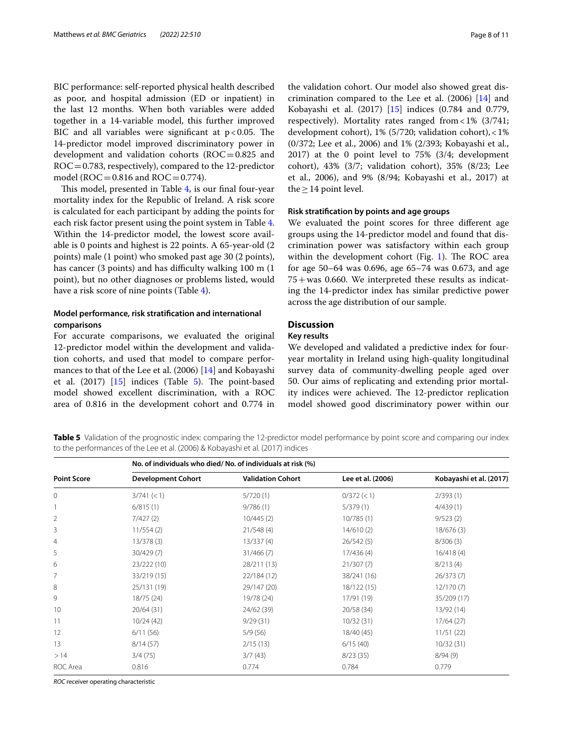BIC performance: self-reported physical health described as poor, and hospital admission (ED or inpatient) in the last 12 months. When both variables were added together in a 14-variable model, this further improved BIC and all variables were significant at  $p < 0.05$ . The 14-predictor model improved discriminatory power in development and validation cohorts (ROC=0.825 and  $ROC = 0.783$ , respectively), compared to the 12-predictor model ( $ROC = 0.816$  and  $ROC = 0.774$ ).

This model, presented in Table [4](#page-6-0), is our final four-year mortality index for the Republic of Ireland. A risk score is calculated for each participant by adding the points for each risk factor present using the point system in Table [4](#page-6-0). Within the 14-predictor model, the lowest score available is 0 points and highest is 22 points. A 65-year-old (2 points) male (1 point) who smoked past age 30 (2 points), has cancer (3 points) and has difficulty walking 100 m (1) point), but no other diagnoses or problems listed, would have a risk score of nine points (Table [4](#page-6-0)).

#### **Model performance, risk stratifcation and international comparisons**

For accurate comparisons, we evaluated the original 12-predictor model within the development and validation cohorts, and used that model to compare performances to that of the Lee et al. (2006) [\[14](#page-10-11)] and Kobayashi et al.  $(2017)$   $[15]$  $[15]$  indices (Table [5\)](#page-7-0). The point-based model showed excellent discrimination, with a ROC area of 0.816 in the development cohort and 0.774 in the validation cohort. Our model also showed great discrimination compared to the Lee et al. (2006) [[14](#page-10-11)] and Kobayashi et al. (2017) [[15\]](#page-10-12) indices (0.784 and 0.779, respectively). Mortality rates ranged from<1% (3/741; development cohort), 1% (5/720; validation cohort),<1% (0/372; Lee et al., 2006) and 1% (2/393; Kobayashi et al., 2017) at the 0 point level to 75% (3/4; development cohort), 43% (3/7; validation cohort), 35% (8/23; Lee et al., 2006), and 9% (8/94; Kobayashi et al., 2017) at the  $\geq$  14 point level.

#### **Risk stratifcation by points and age groups**

We evaluated the point scores for three diferent age groups using the 14-predictor model and found that discrimination power was satisfactory within each group within the development cohort (Fig.  $1$ ). The ROC area for age 50–64 was 0.696, age 65–74 was 0.673, and age  $75+$  was 0.660. We interpreted these results as indicating the 14-predictor index has similar predictive power across the age distribution of our sample.

#### **Discussion**

#### **Key results**

We developed and validated a predictive index for fouryear mortality in Ireland using high-quality longitudinal survey data of community-dwelling people aged over 50. Our aims of replicating and extending prior mortality indices were achieved. The 12-predictor replication model showed good discriminatory power within our

<span id="page-7-0"></span>**Table 5** Validation of the prognostic index: comparing the 12-predictor model performance by point score and comparing our index to the performances of the Lee et al. (2006) & Kobayashi et al. (2017) indices

|                    | No. of individuals who died/No. of individuals at risk (%) |                          |                   |                         |  |  |
|--------------------|------------------------------------------------------------|--------------------------|-------------------|-------------------------|--|--|
| <b>Point Score</b> | <b>Development Cohort</b>                                  | <b>Validation Cohort</b> | Lee et al. (2006) | Kobayashi et al. (2017) |  |  |
| 0                  | 3/741 (< 1)                                                | 5/720(1)                 | $0/372 \le 1$     | 2/393(1)                |  |  |
|                    | 6/815(1)                                                   | 9/786(1)                 | 5/379(1)          | 4/439(1)                |  |  |
| 2                  | 7/427(2)                                                   | 10/445(2)                | 10/785(1)         | 9/523(2)                |  |  |
| 3                  | 11/554(2)                                                  | 21/548(4)                | 14/610(2)         | 18/676(3)               |  |  |
| 4                  | 13/378(3)                                                  | 13/337(4)                | 26/542(5)         | 8/306(3)                |  |  |
| 5                  | 30/429(7)                                                  | 31/466(7)                | 17/436(4)         | 16/418(4)               |  |  |
| 6                  | 23/222 (10)                                                | 28/211 (13)              | 21/307(7)         | 8/213(4)                |  |  |
| 7                  | 33/219 (15)                                                | 22/184 (12)              | 38/241 (16)       | 26/373(7)               |  |  |
| 8                  | 25/131 (19)                                                | 29/147 (20)              | 18/122 (15)       | 12/170(7)               |  |  |
| 9                  | 18/75 (24)                                                 | 19/78 (24)               | 17/91 (19)        | 35/209 (17)             |  |  |
| 10                 | 20/64(31)                                                  | 24/62 (39)               | 20/58 (34)        | 13/92 (14)              |  |  |
| 11                 | 10/24(42)                                                  | 9/29(31)                 | 10/32(31)         | 17/64(27)               |  |  |
| 12                 | 6/11(56)                                                   | 5/9(56)                  | 18/40 (45)        | 11/51(22)               |  |  |
| 13                 | 8/14(57)                                                   | 2/15(13)                 | 6/15(40)          | 10/32(31)               |  |  |
| >14                | 3/4(75)                                                    | 3/7(43)                  | 8/23(35)          | 8/94(9)                 |  |  |
| ROC Area           | 0.816                                                      | 0.774                    | 0.784             | 0.779                   |  |  |

*ROC* receiver operating characteristic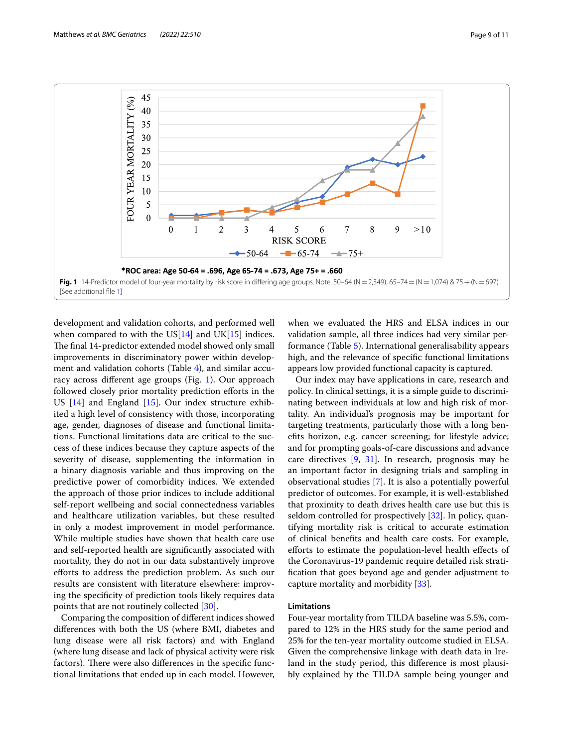

<span id="page-8-0"></span>development and validation cohorts, and performed well when compared to with the  $US[14]$  $US[14]$  $US[14]$  and  $UK[15]$  $UK[15]$  indices. The final 14-predictor extended model showed only small improvements in discriminatory power within development and validation cohorts (Table [4](#page-6-0)), and similar accuracy across diferent age groups (Fig. [1](#page-8-0)). Our approach followed closely prior mortality prediction efforts in the US [[14](#page-10-11)] and England [[15\]](#page-10-12). Our index structure exhibited a high level of consistency with those, incorporating age, gender, diagnoses of disease and functional limitations. Functional limitations data are critical to the success of these indices because they capture aspects of the severity of disease, supplementing the information in a binary diagnosis variable and thus improving on the predictive power of comorbidity indices. We extended the approach of those prior indices to include additional self-report wellbeing and social connectedness variables and healthcare utilization variables, but these resulted in only a modest improvement in model performance. While multiple studies have shown that health care use and self-reported health are signifcantly associated with mortality, they do not in our data substantively improve eforts to address the prediction problem. As such our results are consistent with literature elsewhere: improving the specifcity of prediction tools likely requires data points that are not routinely collected [[30\]](#page-10-25).

Comparing the composition of diferent indices showed diferences with both the US (where BMI, diabetes and lung disease were all risk factors) and with England (where lung disease and lack of physical activity were risk factors). There were also differences in the specific functional limitations that ended up in each model. However, when we evaluated the HRS and ELSA indices in our validation sample, all three indices had very similar performance (Table [5](#page-7-0)). International generalisability appears high, and the relevance of specifc functional limitations appears low provided functional capacity is captured.

Our index may have applications in care, research and policy. In clinical settings, it is a simple guide to discriminating between individuals at low and high risk of mortality. An individual's prognosis may be important for targeting treatments, particularly those with a long benefts horizon, e.g. cancer screening; for lifestyle advice; and for prompting goals-of-care discussions and advance care directives [\[9](#page-10-6), [31](#page-10-26)]. In research, prognosis may be an important factor in designing trials and sampling in observational studies [\[7](#page-10-4)]. It is also a potentially powerful predictor of outcomes. For example, it is well-established that proximity to death drives health care use but this is seldom controlled for prospectively [[32\]](#page-10-27). In policy, quantifying mortality risk is critical to accurate estimation of clinical benefts and health care costs. For example, eforts to estimate the population-level health efects of the Coronavirus-19 pandemic require detailed risk stratifcation that goes beyond age and gender adjustment to capture mortality and morbidity [[33](#page-10-28)].

#### **Limitations**

Four-year mortality from TILDA baseline was 5.5%, compared to 12% in the HRS study for the same period and 25% for the ten-year mortality outcome studied in ELSA. Given the comprehensive linkage with death data in Ireland in the study period, this diference is most plausibly explained by the TILDA sample being younger and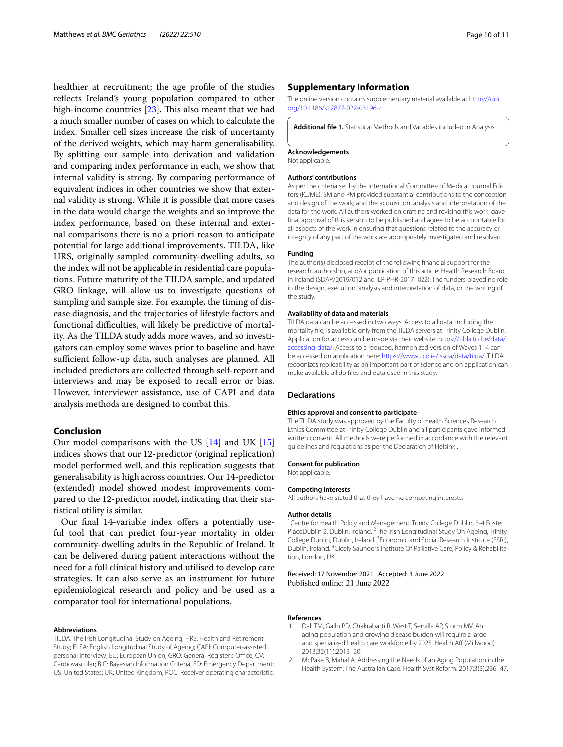healthier at recruitment; the age profle of the studies reflects Ireland's young population compared to other high-income countries  $[23]$  $[23]$ . This also meant that we had a much smaller number of cases on which to calculate the index. Smaller cell sizes increase the risk of uncertainty of the derived weights, which may harm generalisability. By splitting our sample into derivation and validation and comparing index performance in each, we show that internal validity is strong. By comparing performance of equivalent indices in other countries we show that external validity is strong. While it is possible that more cases in the data would change the weights and so improve the index performance, based on these internal and external comparisons there is no a priori reason to anticipate potential for large additional improvements. TILDA, like HRS, originally sampled community-dwelling adults, so the index will not be applicable in residential care populations. Future maturity of the TILDA sample, and updated GRO linkage, will allow us to investigate questions of sampling and sample size. For example, the timing of disease diagnosis, and the trajectories of lifestyle factors and functional difficulties, will likely be predictive of mortality. As the TILDA study adds more waves, and so investigators can employ some waves prior to baseline and have sufficient follow-up data, such analyses are planned. All included predictors are collected through self-report and interviews and may be exposed to recall error or bias. However, interviewer assistance, use of CAPI and data analysis methods are designed to combat this.

#### **Conclusion**

Our model comparisons with the US [[14\]](#page-10-11) and UK [[15](#page-10-12)] indices shows that our 12-predictor (original replication) model performed well, and this replication suggests that generalisability is high across countries. Our 14-predictor (extended) model showed modest improvements compared to the 12-predictor model, indicating that their statistical utility is similar.

Our final 14-variable index offers a potentially useful tool that can predict four-year mortality in older community-dwelling adults in the Republic of Ireland. It can be delivered during patient interactions without the need for a full clinical history and utilised to develop care strategies. It can also serve as an instrument for future epidemiological research and policy and be used as a comparator tool for international populations.

#### **Abbreviations**

TILDA: The Irish Longitudinal Study on Ageing; HRS: Health and Retirement Study; ELSA: English Longitudinal Study of Ageing; CAPI: Computer-assisted personal interview; EU: European Union; GRO: General Register's Office; CV: Cardiovascular; BIC: Bayesian Information Criteria; ED: Emergency Department; US: United States; UK: United Kingdom; ROC: Receiver operating characteristic.

#### **Supplementary Information**

The online version contains supplementary material available at [https://doi.](https://doi.org/10.1186/s12877-022-03196-z) [org/10.1186/s12877-022-03196-z.](https://doi.org/10.1186/s12877-022-03196-z)

<span id="page-9-1"></span>**Additional fle 1.** Statistical Methods and Variables included in Analysis.

#### **Acknowledgements**

Not applicable.

#### **Authors' contributions**

As per the criteria set by the International Committee of Medical Journal Editors (ICJME), SM and PM provided substantial contributions to the conception and design of the work; and the acquisition, analysis and interpretation of the data for the work. All authors worked on drafting and revising this work; gave fnal approval of this version to be published and agree to be accountable for all aspects of the work in ensuring that questions related to the accuracy or integrity of any part of the work are appropriately investigated and resolved.

#### **Funding**

The author(s) disclosed receipt of the following fnancial support for the research, authorship, and/or publication of this article: Health Research Board in Ireland (SDAP/2019/012 and ILP-PHR-2017–022). The funders played no role in the design, execution, analysis and interpretation of data, or the writing of the study.

#### **Availability of data and materials**

TILDA data can be accessed in two ways. Access to all data, including the mortality fle, is available only from the TILDA servers at Trinity College Dublin. Application for access can be made via their website: [https://tilda.tcd.ie/data/](https://tilda.tcd.ie/data/accessing-data/) [accessing-data/.](https://tilda.tcd.ie/data/accessing-data/) Access to a reduced, harmonized version of Waves 1–4 can be accessed on application here: [https://www.ucd.ie/issda/data/tilda/.](https://www.ucd.ie/issda/data/tilda/) TILDA recognizes replicability as an important part of science and on application can make available all.do fles and data used in this study.

#### **Declarations**

#### **Ethics approval and consent to participate**

The TILDA study was approved by the Faculty of Health Sciences Research Ethics Committee at Trinity College Dublin and all participants gave informed written consent. All methods were performed in accordance with the relevant guidelines and regulations as per the Declaration of Helsinki.

#### **Consent for publication**

Not applicable.

#### **Competing interests**

All authors have stated that they have no competing interests.

#### **Author details**

<sup>1</sup> Centre for Health Policy and Management, Trinity College Dublin, 3-4 Foster PlaceDublin 2, Dublin, Ireland. <sup>2</sup>The Irish Longitudinal Study On Ageing, Trinity College Dublin, Dublin, Ireland. <sup>3</sup> Economic and Social Research Institute (ESRI), Dublin, Ireland. 4 Cicely Saunders Institute Of Palliative Care, Policy & Rehabilitation, London, UK.

#### Received: 17 November 2021 Accepted: 3 June 2022 Published online: 21 June 2022

#### **References**

- <span id="page-9-0"></span>Dall TM, Gallo PD, Chakrabarti R, West T, Semilla AP, Storm MV. An aging population and growing disease burden will require a large and specialized health care workforce by 2025. Health Aff (Millwood). 2013;32(11):2013–20.
- 2. McPake B, Mahal A. Addressing the Needs of an Aging Population in the Health System: The Australian Case. Health Syst Reform. 2017;3(3):236–47.